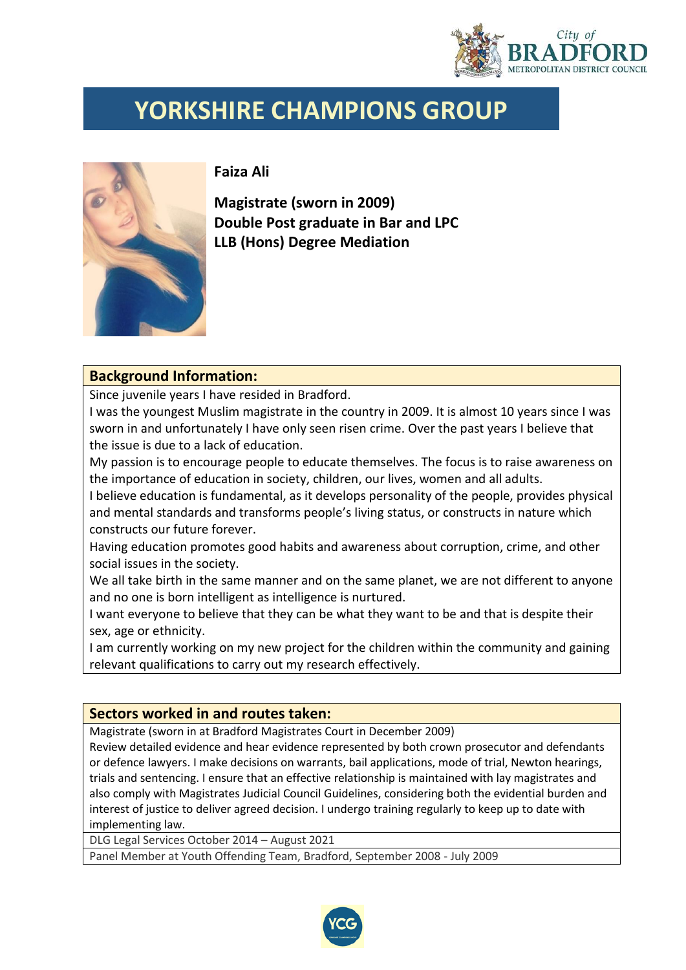

## **YORKSHIRE CHAMPIONS GROUP**



**Faiza Ali**

**Magistrate (sworn in 2009) Double Post graduate in Bar and LPC LLB (Hons) Degree Mediation**

## **Background Information:**

Since juvenile years I have resided in Bradford.

I was the youngest Muslim magistrate in the country in 2009. It is almost 10 years since I was sworn in and unfortunately I have only seen risen crime. Over the past years I believe that the issue is due to a lack of education.

My passion is to encourage people to educate themselves. The focus is to raise awareness on the importance of education in society, children, our lives, women and all adults.

I believe education is fundamental, as it develops personality of the people, provides physical and mental standards and transforms people's living status, or constructs in nature which constructs our future forever.

Having education promotes good habits and awareness about corruption, crime, and other social issues in the society.

We all take birth in the same manner and on the same planet, we are not different to anyone and no one is born intelligent as intelligence is nurtured.

I want everyone to believe that they can be what they want to be and that is despite their sex, age or ethnicity.

I am currently working on my new project for the children within the community and gaining relevant qualifications to carry out my research effectively.

## **Sectors worked in and routes taken:**

Magistrate (sworn in at Bradford Magistrates Court in December 2009)

Review detailed evidence and hear evidence represented by both crown prosecutor and defendants or defence lawyers. I make decisions on warrants, bail applications, mode of trial, Newton hearings, trials and sentencing. I ensure that an effective relationship is maintained with lay magistrates and also comply with Magistrates Judicial Council Guidelines, considering both the evidential burden and interest of justice to deliver agreed decision. I undergo training regularly to keep up to date with implementing law.

DLG Legal Services October 2014 – August 2021

Panel Member at Youth Offending Team, Bradford, September 2008 - July 2009